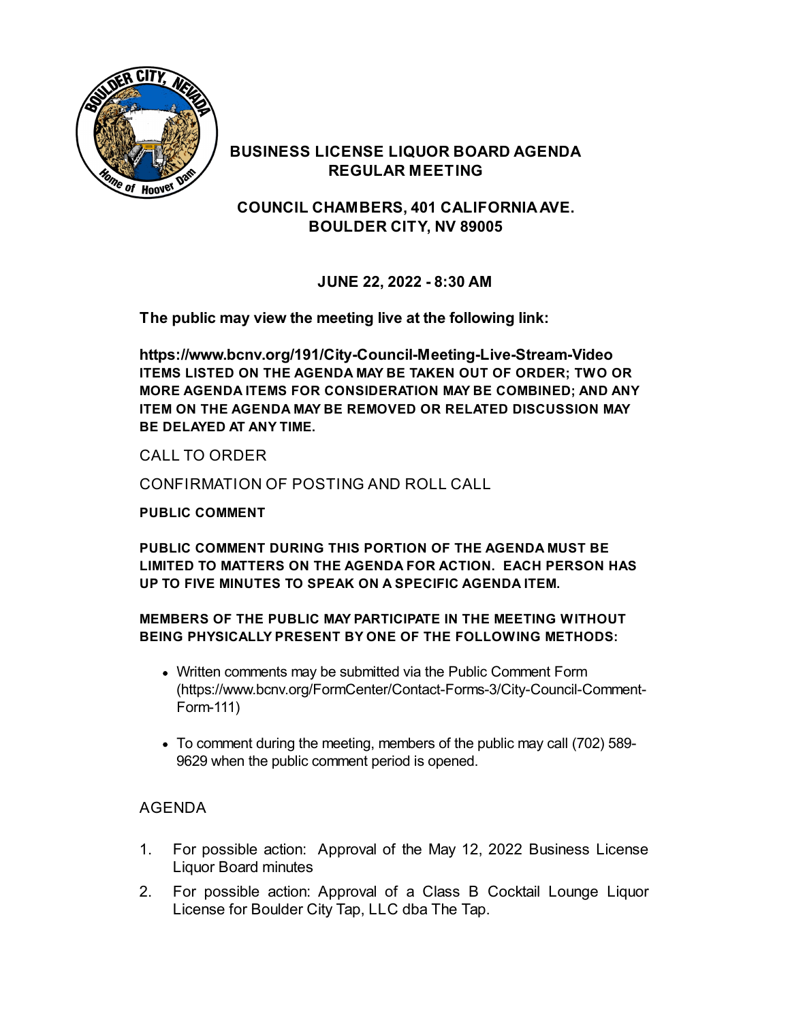

#### **BUSINESS LICENSE LIQUOR BOARD AGENDA REGULAR MEETING**

**COUNCIL CHAMBERS, 401 CALIFORNIAAVE. BOULDER CITY, NV 89005**

**JUNE 22, 2022 - 8:30 AM**

**The public may view the meeting live at the following link:**

**<https://www.bcnv.org/191/City-Council-Meeting-Live-Stream-Video> ITEMS LISTED ON THE AGENDA MAY BE TAKEN OUT OF ORDER; TWO OR MORE AGENDA ITEMS FOR CONSIDERATION MAY BE COMBINED; AND ANY ITEM ON THE AGENDA MAY BE REMOVED OR RELATED DISCUSSION MAY BE DELAYED AT ANY TIME.**

CALL TO ORDER

CONFIRMATION OF POSTING AND ROLL CALL

**PUBLIC COMMENT**

**PUBLIC COMMENT DURING THIS PORTION OF THE AGENDA MUST BE LIMITED TO MATTERS ON THE AGENDA FOR ACTION. EACH PERSON HAS UP TO FIVE MINUTES TO SPEAK ON A SPECIFIC AGENDA ITEM.**

#### **MEMBERS OF THE PUBLIC MAY PARTICIPATE IN THE MEETING WITHOUT BEING PHYSICALLY PRESENT BY ONE OF THE FOLLOWING METHODS:**

- Written comments may be submitted via the Public Comment Form [\(https://www.bcnv.org/FormCenter/Contact-Forms-3/City-Council-Comment-](https://www.bcnv.org/FormCenter/Contact-Forms-3/City-Council-Comment-Form-111)Form-111)
- To comment during the meeting, members of the public may call (702) 589- 9629 when the public comment period is opened.

#### AGENDA

- 1. For possible action: Approval of the May 12, 2022 Business License Liquor Board minutes
- 2. For possible action: Approval of a Class B Cocktail Lounge Liquor License for Boulder City Tap, LLC dba The Tap.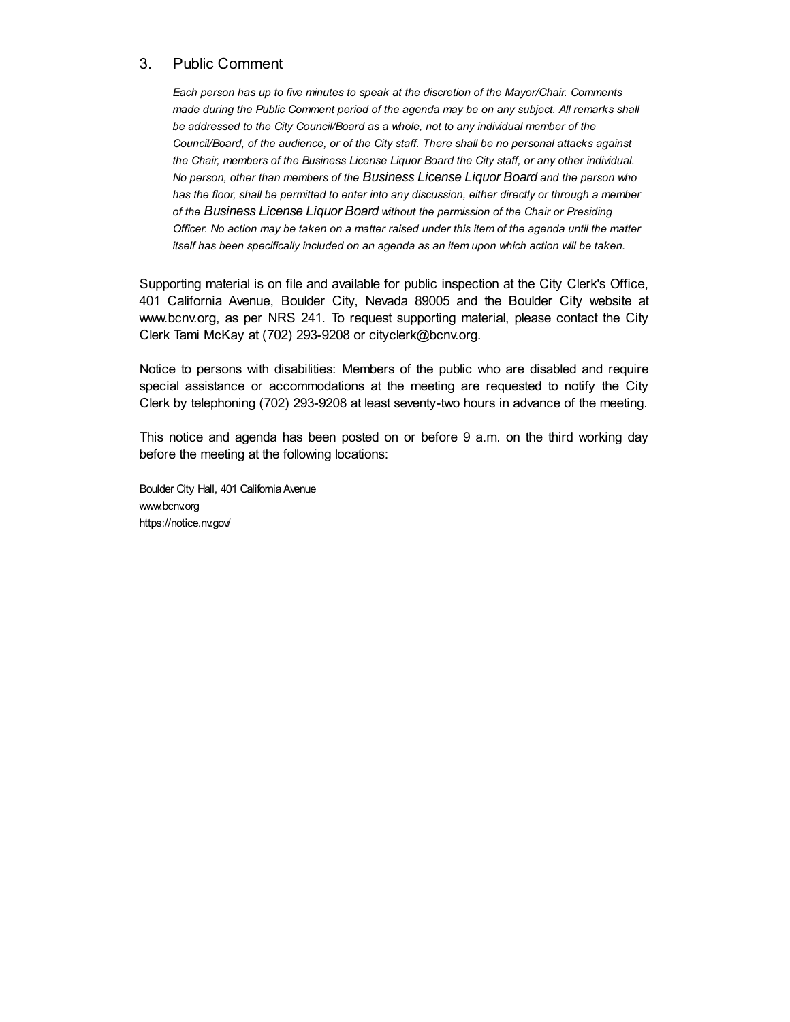#### 3. Public Comment

*Each person has up to five minutes to speak at the discretion of the Mayor/Chair. Comments made during the Public Comment period of the agenda may be on any subject. All remarks shall be addressed to the City Council/Board as a whole, not to any individual member of the Council/Board, of the audience, or of the City staff. There shall be no personal attacks against the Chair, members of the Business License Liquor Board the City staff, or any other individual. No person, other than members of the Business License Liquor Board and the person who has the floor, shall be permitted to enter into any discussion, either directly or through a member of the Business License Liquor Board without the permission of the Chair or Presiding* Officer. No action may be taken on a matter raised under this item of the agenda until the matter *itself has been specifically included on an agenda as an item upon which action will be taken.*

Supporting material is on file and available for public inspection at the City Clerk's Office, 401 California Avenue, Boulder City, Nevada 89005 and the Boulder City website at [www.bcnv.org](http://www.bcnv.org), as per NRS 241. To request supporting material, please contact the City Clerk Tami McKay at (702) 293-9208 or [cityclerk@bcnv.org](mailto:cityclerk@bcnv.org).

Notice to persons with disabilities: Members of the public who are disabled and require special assistance or accommodations at the meeting are requested to notify the City Clerk by telephoning (702) 293-9208 at least seventy-two hours in advance of the meeting.

This notice and agenda has been posted on or before 9 a.m. on the third working day before the meeting at the following locations:

Boulder City Hall, 401 California Avenue [www.bcnv.org](http://www.bcnv.org) <https://notice.nv.gov/>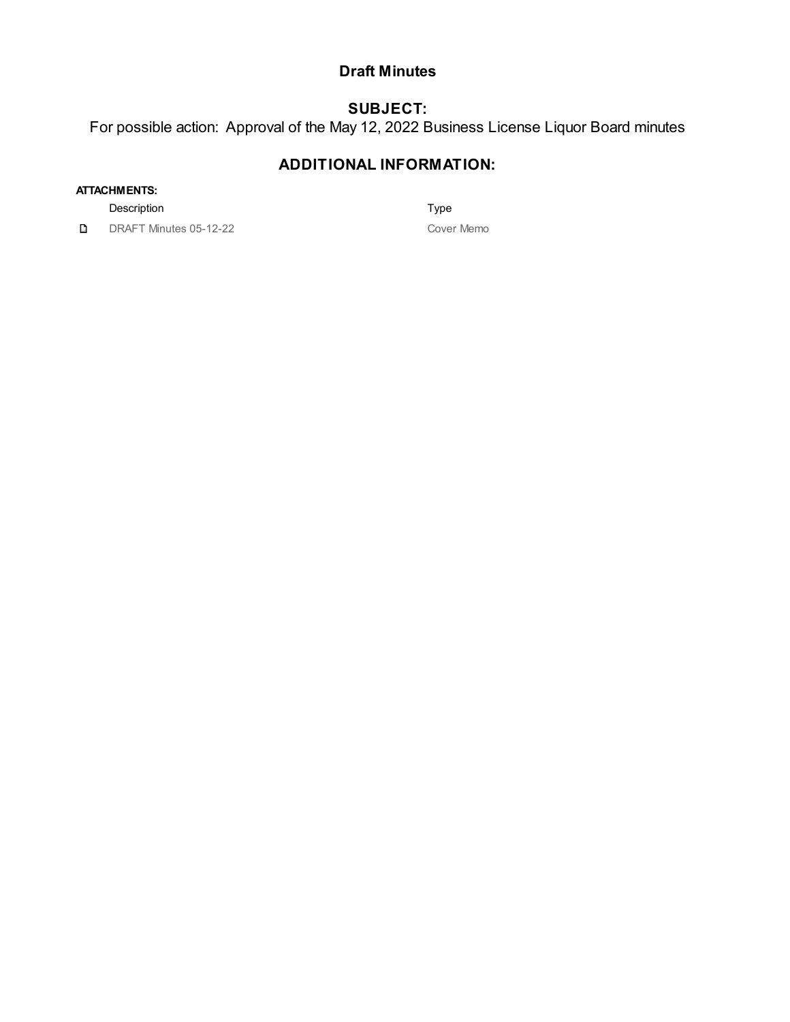#### **Draft Minutes**

## **SUBJECT:**

For possible action: Approval of the May 12, 2022 Business License Liquor Board minutes

### **ADDITIONAL INFORMATION:**

#### **ATTACHMENTS:**

Description **Type** 

D DRAFT Minutes 05-12-22 Cover Memo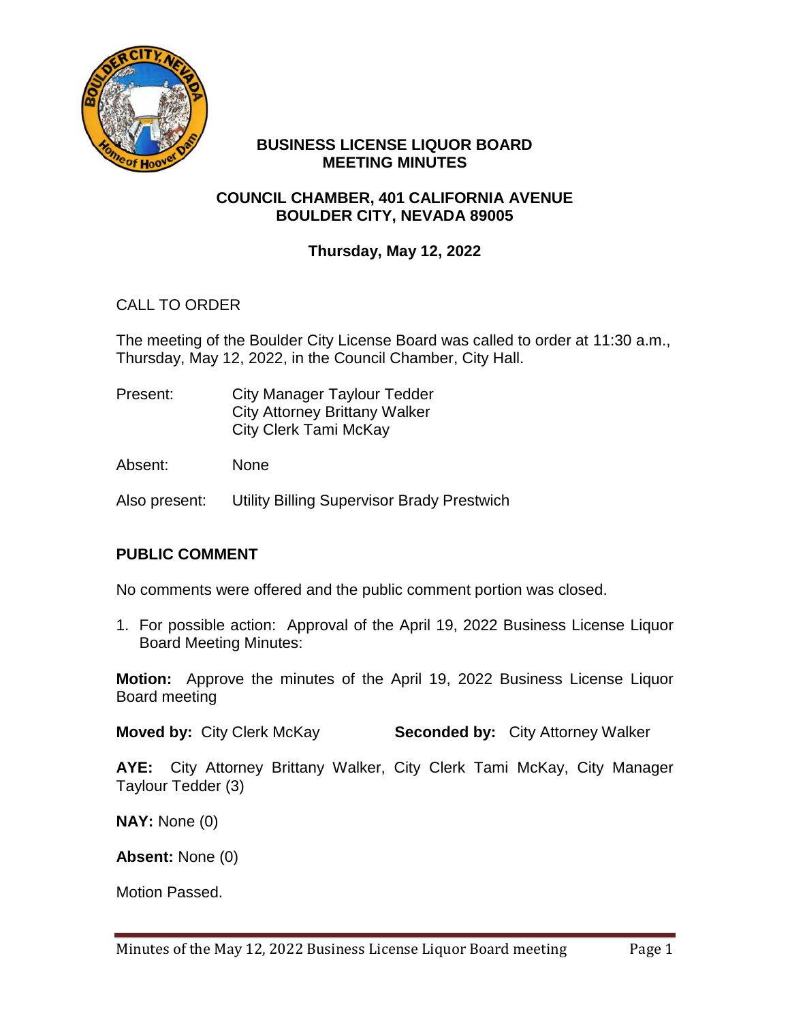

#### **BUSINESS LICENSE LIQUOR BOARD MEETING MINUTES**

#### **COUNCIL CHAMBER, 401 CALIFORNIA AVENUE BOULDER CITY, NEVADA 89005**

### **Thursday, May 12, 2022**

### CALL TO ORDER

The meeting of the Boulder City License Board was called to order at 11:30 a.m., Thursday, May 12, 2022, in the Council Chamber, City Hall.

Present: City Manager Taylour Tedder City Attorney Brittany Walker City Clerk Tami McKay

Absent: None

Also present: Utility Billing Supervisor Brady Prestwich

#### **PUBLIC COMMENT**

No comments were offered and the public comment portion was closed.

1. For possible action: Approval of the April 19, 2022 Business License Liquor Board Meeting Minutes:

**Motion:** Approve the minutes of the April 19, 2022 Business License Liquor Board meeting

**Moved by:** City Clerk McKay **Seconded by:** City Attorney Walker

**AYE:** City Attorney Brittany Walker, City Clerk Tami McKay, City Manager Taylour Tedder (3)

**NAY:** None (0)

**Absent:** None (0)

Motion Passed.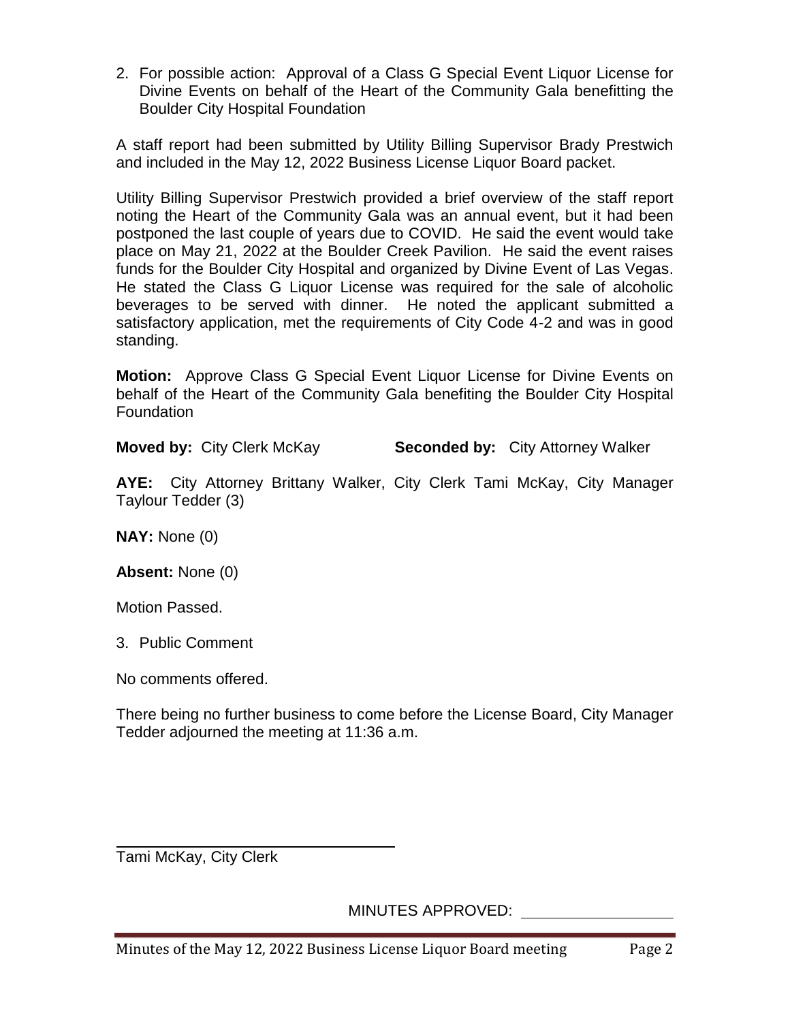2. For possible action: Approval of a Class G Special Event Liquor License for Divine Events on behalf of the Heart of the Community Gala benefitting the Boulder City Hospital Foundation

A staff report had been submitted by Utility Billing Supervisor Brady Prestwich and included in the May 12, 2022 Business License Liquor Board packet.

Utility Billing Supervisor Prestwich provided a brief overview of the staff report noting the Heart of the Community Gala was an annual event, but it had been postponed the last couple of years due to COVID. He said the event would take place on May 21, 2022 at the Boulder Creek Pavilion. He said the event raises funds for the Boulder City Hospital and organized by Divine Event of Las Vegas. He stated the Class G Liquor License was required for the sale of alcoholic beverages to be served with dinner. He noted the applicant submitted a satisfactory application, met the requirements of City Code 4-2 and was in good standing.

**Motion:** Approve Class G Special Event Liquor License for Divine Events on behalf of the Heart of the Community Gala benefiting the Boulder City Hospital **Foundation** 

**Moved by:** City Clerk McKay **Seconded by:** City Attorney Walker

**AYE:** City Attorney Brittany Walker, City Clerk Tami McKay, City Manager Taylour Tedder (3)

**NAY:** None (0)

**Absent:** None (0)

Motion Passed.

3. Public Comment

No comments offered.

There being no further business to come before the License Board, City Manager Tedder adjourned the meeting at 11:36 a.m.

Tami McKay, City Clerk

MINUTES APPROVED: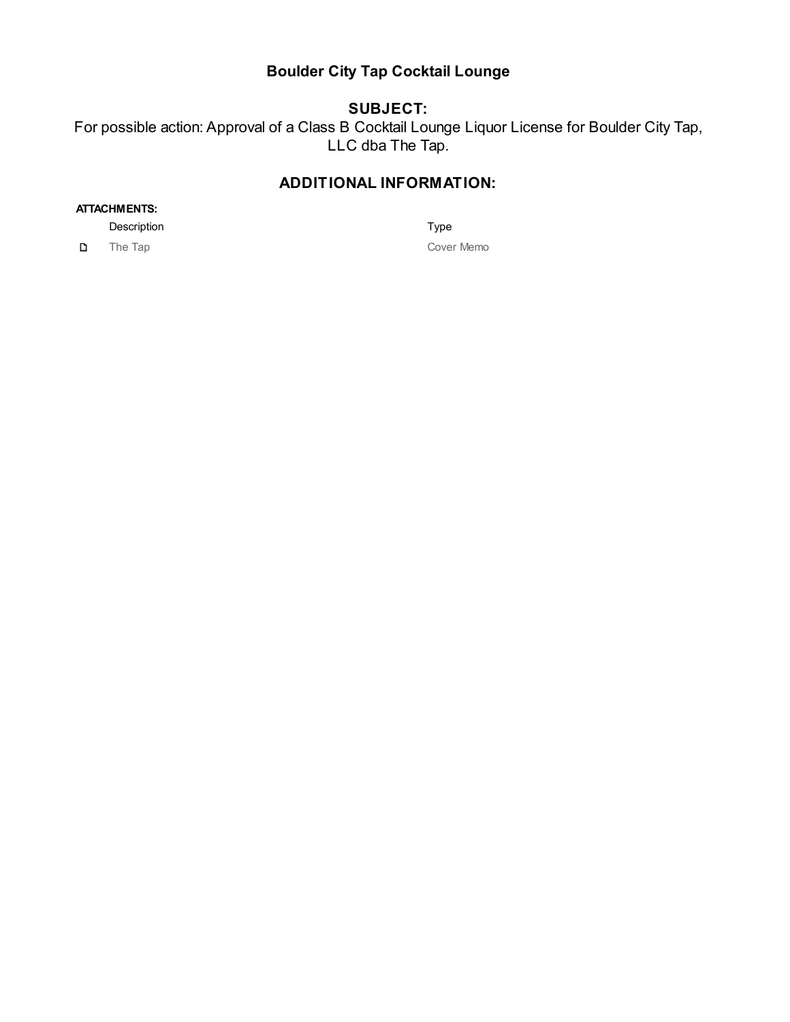#### **Boulder City Tap Cocktail Lounge**

## **SUBJECT:**

For possible action: Approval of a Class B Cocktail Lounge Liquor License for Boulder City Tap, LLC dba The Tap.

#### **ADDITIONAL INFORMATION:**

#### **ATTACHMENTS:**

Description Type

D.

The Tap Cover Memo